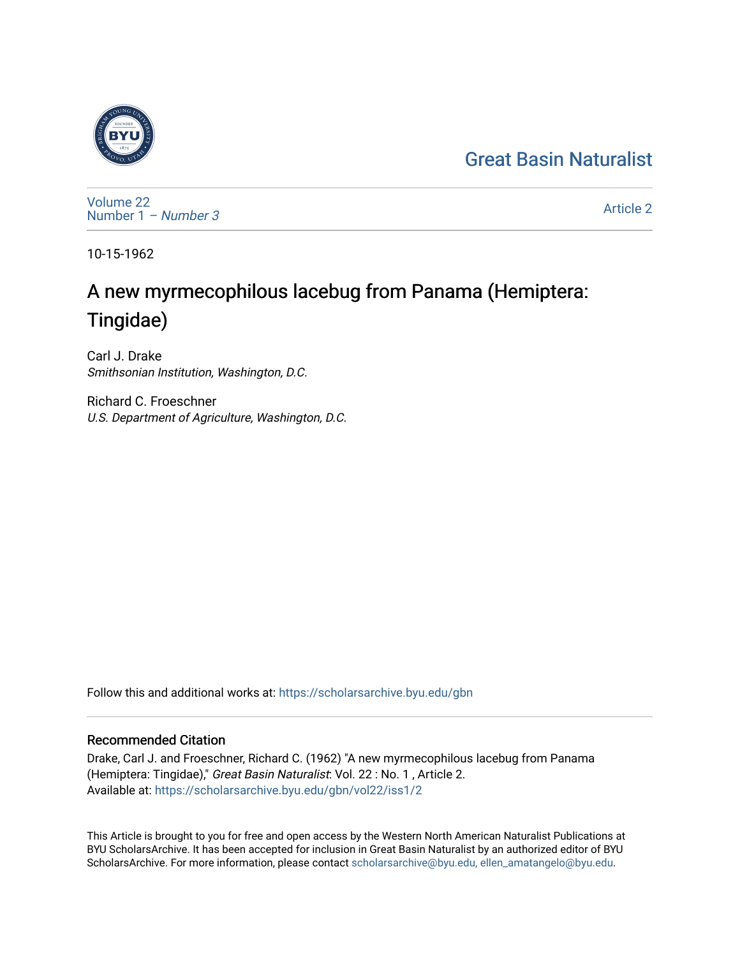## [Great Basin Naturalist](https://scholarsarchive.byu.edu/gbn)



[Volume 22](https://scholarsarchive.byu.edu/gbn/vol22) [Number 1](https://scholarsarchive.byu.edu/gbn/vol22/iss1) – Number 3

[Article 2](https://scholarsarchive.byu.edu/gbn/vol22/iss1/2) 

10-15-1962

# A new myrmecophilous lacebug from Panama (Hemiptera: Tingidae)

Carl J. Drake Smithsonian Institution, Washington, D.C.

Richard C. Froeschner U.S. Department of Agriculture, Washington, D.C.

Follow this and additional works at: [https://scholarsarchive.byu.edu/gbn](https://scholarsarchive.byu.edu/gbn?utm_source=scholarsarchive.byu.edu%2Fgbn%2Fvol22%2Fiss1%2F2&utm_medium=PDF&utm_campaign=PDFCoverPages) 

### Recommended Citation

Drake, Carl J. and Froeschner, Richard C. (1962) "A new myrmecophilous lacebug from Panama (Hemiptera: Tingidae)," Great Basin Naturalist: Vol. 22 : No. 1 , Article 2. Available at: [https://scholarsarchive.byu.edu/gbn/vol22/iss1/2](https://scholarsarchive.byu.edu/gbn/vol22/iss1/2?utm_source=scholarsarchive.byu.edu%2Fgbn%2Fvol22%2Fiss1%2F2&utm_medium=PDF&utm_campaign=PDFCoverPages)

This Article is brought to you for free and open access by the Western North American Naturalist Publications at BYU ScholarsArchive. It has been accepted for inclusion in Great Basin Naturalist by an authorized editor of BYU ScholarsArchive. For more information, please contact [scholarsarchive@byu.edu, ellen\\_amatangelo@byu.edu.](mailto:scholarsarchive@byu.edu,%20ellen_amatangelo@byu.edu)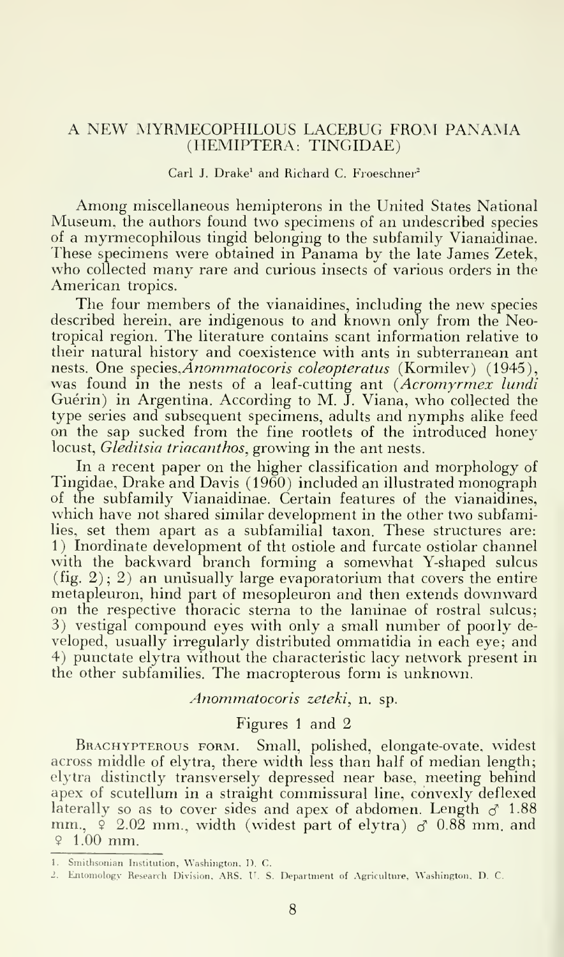#### A NEW MYRMECOPHILOUS LACEBUG FROM PANAMA (HEMIPTERA: TINGIDAE)

#### Carl J. Drake<sup>1</sup> and Richard C. Froeschner<sup>2</sup>

Among miscellaneous hemipterons in the United States National Museum, the authors found two specimens of an undescribed species of a myrmecophilous tingid belonging to the subfamily Vianaidinae. These specimens were obtained in Panama by the late James Zetek, who collected many rare and curious insects of various orders in the American tropics.

The four members of the vianaidines, including the new species described herein, are indigenous to and known only from the Neotropical region. The literature contains scant information relative to their natural history and coexistence with ants in subterranean ant nests. One species, *Anommatocoris coleopteratus* (Kormilev) (1945), was found in the nests of a leaf-cutting ant (Acromyrmex lundi Guérin) in Argentina. According to M. J. Viana, who collected the type series and subsequent specimens, adults and nymphs alike feed on the sap sucked from the fine rootlets of the introduced honey locust, Gleditsia triacanthos, growing in the ant nests.

In a recent paper on the higher classification and morphology of Tingidae, Drake and Davis (1960) included an illustrated monograph of the subfamily Vianaidinae. Certain features of the vianaidines, which have not shared similar development in the other two subfamilies, set them apart as a subfamilial taxon. These structures are: 1) Inordinate development of tht ostiole and furcate ostiolar channel with the backward branch forming a somewhat Y-shaped sulcus  $(fig. 2); 2)$  an unusually large evaporatorium that covers the entire metapleuron, hind part of mesopleuron and then extends downward on the respective thoracic sterna to the laminae of rostral sulcus; 3) vestigal compound eyes with only a small number of poorly de veloped, usually irregularly distributed ommatidia in each eye; and 4) punctate elytra without the characteristic lacy network present in the other subfamilies. The macropterous form is unknown.

Anommatocoris zeteki, n. sp.

#### Figures <sup>1</sup> and 2

Br.ACHYPTEROUS FORM. Small, polished, elongate-ovate, widest across middle of elytra, there width less than half of median length; elytra distinctly transversely depressed near base, meeting behind apex of scutellum in a straight commissural line, convexly deflexed laterally so as to cover sides and apex of abdomen. Length  $\delta$  1.88 mm.,  $\frac{6}{7}$  2.02 mm., width (widest part of elytra)  $\sigma$  0.88 mm, and  $9.1.00$  mm.

<sup>1.</sup> Smithsonian Institution, Washington. I). C.

<sup>2.</sup> Entomology Research Division, ARS. U. S. Department of Agriculture. Washington. D. C.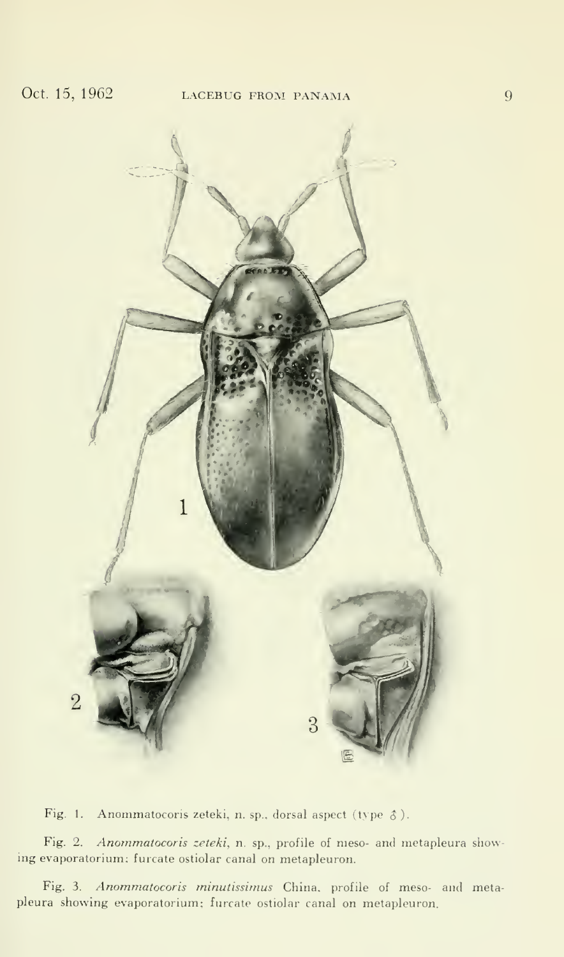

Fig. 1. Anommatocoris zeteki, n. sp., dorsal aspect (type  $\delta$ ).

Fig. 2. Anommatocoris zeteki, n. sp., profile of meso- and metapleura showing evaporatorium; furcate ostiolar canal on metapleuron.

Fig. 3. Anommatocoris minutissimus China, profile of meso- and metapleura showing evaporatorium; furcate ostiolar canal on metapleuron.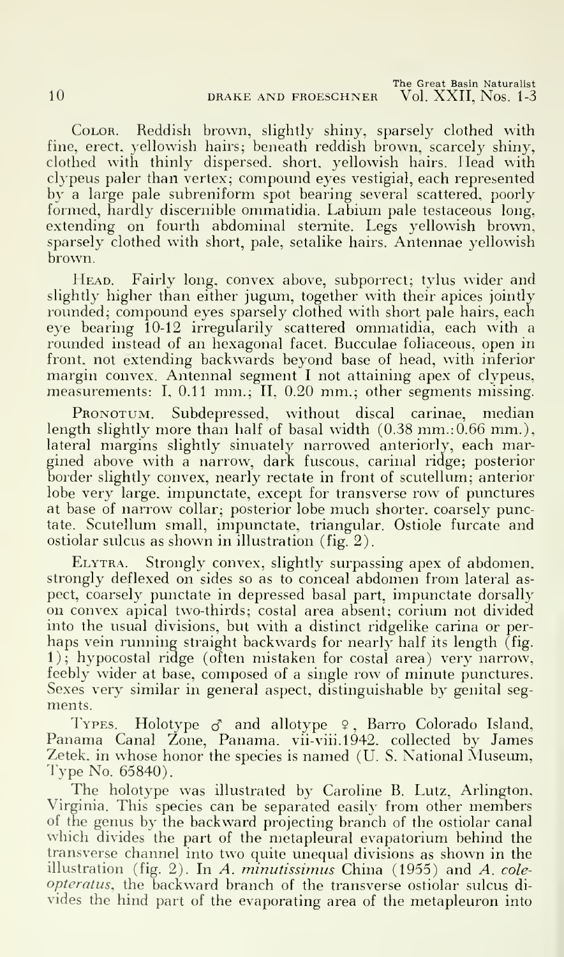Color. Reddish brown, slightly shiny, sparsely clothed with fine, erect, yellowish hairs; beneath reddish brown, scarcely shiny, clothed with thinly dispersed, short, yellowish hairs. Head with clypeus paler than vertex; compound eyes vestigial, each represented by a large pale subreniform spot bearing several scattered, poorly formed, hardly discernible ommatidia. Labium pale testaceous long, extending on fourth abdominal stemite. Legs yellowish brown, sparsely clothed with short, pale, setalike hairs. Antennae yellowish brown.

HEAD. Fairly long, convex above, subporrect; tylus wider and slightly higher than either jugum, together with their apices jointly rounded; compound eyes sparsely clothed with short pale hairs, each eye bearing 10-12 irregularily scattered ommatidia, each with a rounded instead of an hexagonal facet. Bucculae foliaceous. open in front, not extending backwards beyond base of head, with inferior margin convex. Antennal segment I not attaining apex of clypeus, measurements: I, 0.11 mm.; II, 0.20 mm.; other segments missing.

PRONOTUM. Subdepressed, without discal carinae, median length slightly more than half of basal width  $(0.38 \text{ mm} \cdot 0.66 \text{ mm}$ .), lateral margins slightly sinuately narrowed anteriorly, each margined above with a narrow, dark fuscous, carinal ridge; posterior border slightly convex, nearly rectate in front of scutellum; anterior lobe very large, impunctate, except for transverse row of punctures at base of narrow collar; posterior lobe much shorter, coarsely punctate. Scutellum small, impunctate. triangular. Ostiole furcate and ostiolar sulcus as shown in illustration (fig. 2).

Elytra. Strongly convex, slightly surpassing apex of abdomen, strongly deflexed on sides so as to conceal abdomen from lateral as pect, coarsely punctate in depressed basal part, impunctate dorsally on convex apical two-thirds; costal area absent; corium not divided into the usual divisions, but with a distinct ridgelike carina or per haps vein running straight backwards for nearly half its length (fig. 1); hypocostal ridge (often mistaken for costal area) very narrow, feebly wider at base, composed of a single row of minute punctures. Sexes very similar in general aspect, distinguishable by genital seg ments.

TYPES. Holotype  $\sigma$  and allotype 9, Barro Colorado Island, Panama Canal Zone, Panama. vii-viii.1942. collected by James Zetek, in whose honor the species is named (U.S. National Museum, Type No. 65840).

The holotype was illustrated by Caroline B. Lutz, Arlington, Virginia. This species can be separated easily from other members of the genus by the backward projecting branch of the ostiolar canal which divides the part of the metapleural evapatorium behind the transverse channel into two quite unequal divisions as shown in the illustration (fig. 2). In A. minutissimus China (1955) and A.  $cole$ opteratus, the backward branch of the transverse ostiolar sulcus di vides the hind part of the evaporating area of the metapleuron into